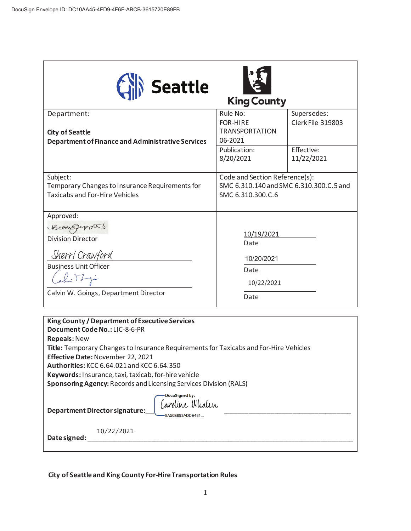| <b>Seattle</b>                                                                                                                                                                                                                                                                                                                                                                                                         | <b>King County</b>                                                                             |                                                              |  |  |
|------------------------------------------------------------------------------------------------------------------------------------------------------------------------------------------------------------------------------------------------------------------------------------------------------------------------------------------------------------------------------------------------------------------------|------------------------------------------------------------------------------------------------|--------------------------------------------------------------|--|--|
| Department:<br><b>City of Seattle</b><br><b>Department of Finance and Administrative Services</b>                                                                                                                                                                                                                                                                                                                      | Rule No:<br><b>FOR-HIRE</b><br><b>TRANSPORTATION</b><br>06-2021<br>Publication:<br>8/20/2021   | Supersedes:<br>Clerk File 319803<br>Effective:<br>11/22/2021 |  |  |
| Subject:<br>Temporary Changes to Insurance Requirements for<br><b>Taxicabs and For-Hire Vehicles</b>                                                                                                                                                                                                                                                                                                                   | Code and Section Reference(s):<br>SMC 6.310.140 and SMC 6.310.300.C.5 and<br>SMC 6.310.300.C.6 |                                                              |  |  |
| Approved:<br>Receippipport<br><b>Division Director</b><br>Sherri Crawford<br><b>Business Unit Officer</b><br>0.724<br>Calvin W. Goings, Department Director                                                                                                                                                                                                                                                            | 10/19/2021<br>Date<br>10/20/2021<br>Date<br>10/22/2021<br>Date                                 |                                                              |  |  |
| King County / Department of Executive Services<br>Document Code No.: LIC-8-6-PR<br><b>Repeals: New</b><br>Title: Temporary Changes to Insurance Requirements for Taxicabs and For-Hire Vehicles<br>Effective Date: November 22, 2021<br>Authorities: KCC 6.64.021 and KCC 6.64.350<br>Keywords: Insurance, taxi, taxicab, for-hire vehicle<br><b>Sponsoring Agency: Records and Licensing Services Division (RALS)</b> |                                                                                                |                                                              |  |  |

| <b>Department Director signature:</b> | DocuSigned by:<br>Caroline Whalen<br>-8A56E893ADDE481. |
|---------------------------------------|--------------------------------------------------------|
| 10/22/2021<br>Date signed:            |                                                        |

**City of Seattle and King County For-Hire Transportation Rules**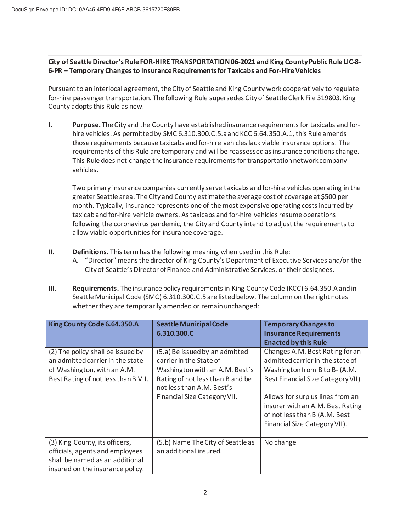## **City of Seattle Director's Rule FOR-HIRE TRANSPORTATION 06-2021 and King County Public Rule LIC-8- 6-PR – Temporary Changes to Insurance Requirements for Taxicabs and For-Hire Vehicles**

Pursuant to an interlocal agreement, the City of Seattle and King County work cooperatively to regulate for-hire passenger transportation. The following Rule supersedes City of Seattle Clerk File 319803. King County adopts this Rule as new.

**I. Purpose.** The City and the County have established insurance requirements for taxicabs and forhire vehicles. As permitted by SMC 6.310.300.C.5.a and KCC 6.64.350.A.1, this Rule amends those requirements because taxicabs and for-hire vehicles lack viable insurance options. The requirements of this Rule are temporary and will be reassessed as insurance conditions change. This Rule does not change the insurance requirements for transportation network company vehicles.

Two primary insurance companies currently serve taxicabs and for-hire vehicles operating in the greater Seattle area. The City and County estimate the average cost of coverage at \$500 per month. Typically, insurance represents one of the most expensive operating costs incurred by taxicab and for-hire vehicle owners. As taxicabs and for-hire vehicles resume operations following the coronavirus pandemic, the City and County intend to adjust the requirements to allow viable opportunities for insurance coverage.

- **II. Definitions.** This term has the following meaning when used in this Rule:
	- A. "Director" means the director of King County's Department of Executive Services and/or the City of Seattle's Director of Finance and Administrative Services, or their designees.
- **III. Requirements.** The insurance policy requirements in King County Code (KCC) 6.64.350.A and in Seattle Municipal Code (SMC) 6.310.300.C.5 are listed below. The column on the right notes whether they are temporarily amended or remain unchanged:

| King County Code 6.64.350.A                                                                                                                 | <b>Seattle Municipal Code</b><br>6.310.300.C                                                                                                                                                 | <b>Temporary Changes to</b><br><b>Insurance Requirements</b><br><b>Enacted by this Rule</b>                                                                                                                                                                                          |
|---------------------------------------------------------------------------------------------------------------------------------------------|----------------------------------------------------------------------------------------------------------------------------------------------------------------------------------------------|--------------------------------------------------------------------------------------------------------------------------------------------------------------------------------------------------------------------------------------------------------------------------------------|
| (2) The policy shall be issued by<br>an admitted carrier in the state<br>of Washington, with an A.M.<br>Best Rating of not less than B VII. | (5.a) Be issued by an admitted<br>carrier in the State of<br>Washington with an A.M. Best's<br>Rating of not less than B and be<br>not less than A.M. Best's<br>Financial Size Category VII. | Changes A.M. Best Rating for an<br>admitted carrier in the state of<br>Washington from B to B- (A.M.<br>Best Financial Size Category VII).<br>Allows for surplus lines from an<br>insurer with an A.M. Best Rating<br>of not less than B (A.M. Best<br>Financial Size Category VII). |
| (3) King County, its officers,<br>officials, agents and employees<br>shall be named as an additional<br>insured on the insurance policy.    | (5.b) Name The City of Seattle as<br>an additional insured.                                                                                                                                  | No change                                                                                                                                                                                                                                                                            |